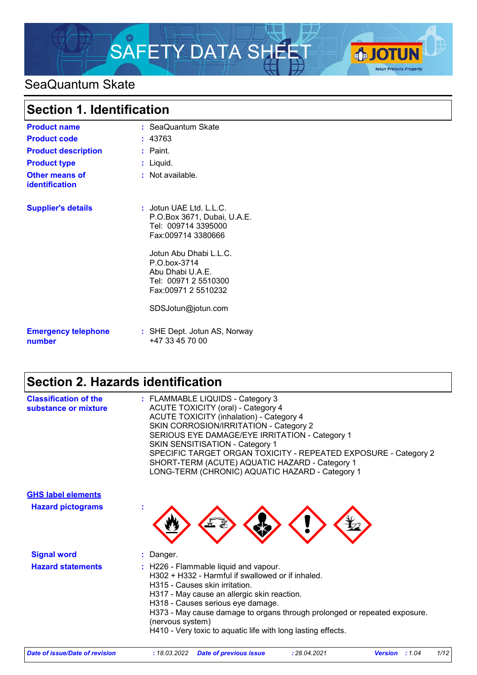

# SeaQuantum Skate

| <b>Section 1. Identification</b>     |                                                                                                                                                                                                                                          |  |
|--------------------------------------|------------------------------------------------------------------------------------------------------------------------------------------------------------------------------------------------------------------------------------------|--|
| <b>Product name</b>                  | : SeaQuantum Skate                                                                                                                                                                                                                       |  |
| <b>Product code</b>                  | : 43763                                                                                                                                                                                                                                  |  |
| <b>Product description</b>           | : Paint.                                                                                                                                                                                                                                 |  |
| <b>Product type</b>                  | : Liquid.                                                                                                                                                                                                                                |  |
| Other means of<br>identification     | $:$ Not available.                                                                                                                                                                                                                       |  |
| <b>Supplier's details</b>            | $:$ Jotun UAE Ltd. L.L.C.<br>P.O.Box 3671, Dubai, U.A.E.<br>Tel: 009714 3395000<br>Fax:009714 3380666<br>Jotun Abu Dhabi L.L.C.<br>P.O.box-3714<br>Abu Dhabi U.A.E.<br>Tel: 00971 2 5510300<br>Fax:00971 2 5510232<br>SDSJotun@jotun.com |  |
| <b>Emergency telephone</b><br>number | : SHE Dept. Jotun AS, Norway<br>+47 33 45 70 00                                                                                                                                                                                          |  |

# **Section 2. Hazards identification**

| <b>Classification of the</b><br>substance or mixture | : FLAMMABLE LIQUIDS - Category 3<br><b>ACUTE TOXICITY (oral) - Category 4</b><br><b>ACUTE TOXICITY (inhalation) - Category 4</b><br>SKIN CORROSION/IRRITATION - Category 2<br>SERIOUS EYE DAMAGE/EYE IRRITATION - Category 1<br><b>SKIN SENSITISATION - Category 1</b><br>SPECIFIC TARGET ORGAN TOXICITY - REPEATED EXPOSURE - Category 2<br>SHORT-TERM (ACUTE) AQUATIC HAZARD - Category 1<br>LONG-TERM (CHRONIC) AQUATIC HAZARD - Category 1 |
|------------------------------------------------------|------------------------------------------------------------------------------------------------------------------------------------------------------------------------------------------------------------------------------------------------------------------------------------------------------------------------------------------------------------------------------------------------------------------------------------------------|
| <b>GHS label elements</b>                            |                                                                                                                                                                                                                                                                                                                                                                                                                                                |
| <b>Hazard pictograms</b>                             |                                                                                                                                                                                                                                                                                                                                                                                                                                                |
| <b>Signal word</b>                                   | : Danger.                                                                                                                                                                                                                                                                                                                                                                                                                                      |
| <b>Hazard statements</b>                             | : H226 - Flammable liquid and vapour.<br>H302 + H332 - Harmful if swallowed or if inhaled.<br>H315 - Causes skin irritation.<br>H317 - May cause an allergic skin reaction.<br>H318 - Causes serious eye damage.<br>H373 - May cause damage to organs through prolonged or repeated exposure.<br>(nervous system)<br>H410 - Very toxic to aquatic life with long lasting effects.                                                              |

| Date of issue/Date of revision | : 18.03.2022 Date of previous issue | 28.04.2021 | <b>Version</b><br>: 1.04 | 1/12 |
|--------------------------------|-------------------------------------|------------|--------------------------|------|
|                                |                                     |            |                          |      |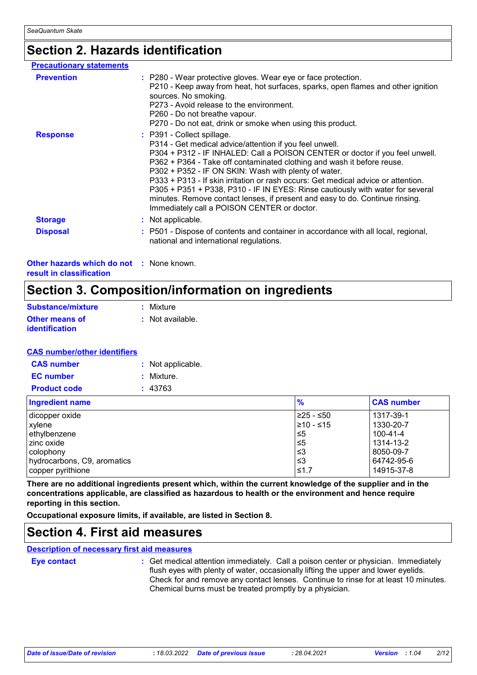## **Section 2. Hazards identification**

| <b>Precautionary statements</b>                            |                                                                                                                                                                                                                                                                                                                                                                                                                                                                                                                                                                                                               |
|------------------------------------------------------------|---------------------------------------------------------------------------------------------------------------------------------------------------------------------------------------------------------------------------------------------------------------------------------------------------------------------------------------------------------------------------------------------------------------------------------------------------------------------------------------------------------------------------------------------------------------------------------------------------------------|
| <b>Prevention</b>                                          | : P280 - Wear protective gloves. Wear eye or face protection.<br>P210 - Keep away from heat, hot surfaces, sparks, open flames and other ignition<br>sources. No smoking.<br>P273 - Avoid release to the environment.<br>P260 - Do not breathe vapour.<br>P270 - Do not eat, drink or smoke when using this product.                                                                                                                                                                                                                                                                                          |
| <b>Response</b>                                            | : P391 - Collect spillage.<br>P314 - Get medical advice/attention if you feel unwell.<br>P304 + P312 - IF INHALED: Call a POISON CENTER or doctor if you feel unwell.<br>P362 + P364 - Take off contaminated clothing and wash it before reuse.<br>P302 + P352 - IF ON SKIN: Wash with plenty of water.<br>P333 + P313 - If skin irritation or rash occurs: Get medical advice or attention.<br>P305 + P351 + P338, P310 - IF IN EYES: Rinse cautiously with water for several<br>minutes. Remove contact lenses, if present and easy to do. Continue rinsing.<br>Immediately call a POISON CENTER or doctor. |
| <b>Storage</b>                                             | : Not applicable.                                                                                                                                                                                                                                                                                                                                                                                                                                                                                                                                                                                             |
| <b>Disposal</b>                                            | : P501 - Dispose of contents and container in accordance with all local, regional,<br>national and international regulations.                                                                                                                                                                                                                                                                                                                                                                                                                                                                                 |
| $\lambda$ thar bazarda which do not $\lambda$ , None known |                                                                                                                                                                                                                                                                                                                                                                                                                                                                                                                                                                                                               |

**Other hazards which do not :** None known. **result in classification**

## **Section 3. Composition/information on ingredients**

| <b>Substance/mixture</b>                | : Mixture        |
|-----------------------------------------|------------------|
| <b>Other means of</b><br>identification | : Not available. |

### **CAS number/other identifiers**

| <b>CAS number</b>   | : Not applicable. |
|---------------------|-------------------|
| <b>EC</b> number    | : Mixture.        |
| <b>Product code</b> | : 43763           |

| <b>Ingredient name</b>      | $\frac{9}{6}$ | <b>CAS number</b> |
|-----------------------------|---------------|-------------------|
| dicopper oxide              | ≥25 - ≤50     | 1317-39-1         |
| xylene                      | 1≥10 - ≤15    | 1330-20-7         |
| ethylbenzene                | ≤5            | 100-41-4          |
| I zinc oxide                | ≤5            | 1314-13-2         |
| colophony                   | ו≥ ≥          | 8050-09-7         |
| hydrocarbons, C9, aromatics | ו≥ ≥          | 64742-95-6        |
| copper pyrithione           | ≤1.7          | 14915-37-8        |

**There are no additional ingredients present which, within the current knowledge of the supplier and in the concentrations applicable, are classified as hazardous to health or the environment and hence require reporting in this section.**

**Occupational exposure limits, if available, are listed in Section 8.**

## **Section 4. First aid measures**

## **Description of necessary first aid measures**

#### **Eye contact :**

: Get medical attention immediately. Call a poison center or physician. Immediately flush eyes with plenty of water, occasionally lifting the upper and lower eyelids. Check for and remove any contact lenses. Continue to rinse for at least 10 minutes. Chemical burns must be treated promptly by a physician.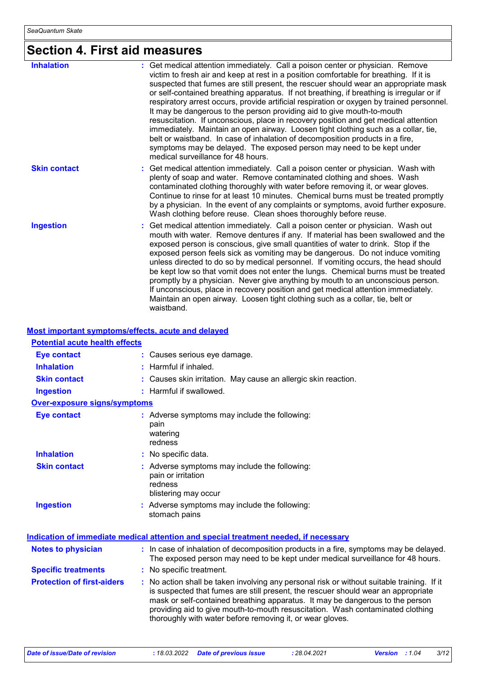# **Section 4. First aid measures**

| <b>Inhalation</b>   | : Get medical attention immediately. Call a poison center or physician. Remove<br>victim to fresh air and keep at rest in a position comfortable for breathing. If it is<br>suspected that fumes are still present, the rescuer should wear an appropriate mask<br>or self-contained breathing apparatus. If not breathing, if breathing is irregular or if<br>respiratory arrest occurs, provide artificial respiration or oxygen by trained personnel.<br>It may be dangerous to the person providing aid to give mouth-to-mouth<br>resuscitation. If unconscious, place in recovery position and get medical attention<br>immediately. Maintain an open airway. Loosen tight clothing such as a collar, tie,<br>belt or waistband. In case of inhalation of decomposition products in a fire,<br>symptoms may be delayed. The exposed person may need to be kept under<br>medical surveillance for 48 hours. |
|---------------------|-----------------------------------------------------------------------------------------------------------------------------------------------------------------------------------------------------------------------------------------------------------------------------------------------------------------------------------------------------------------------------------------------------------------------------------------------------------------------------------------------------------------------------------------------------------------------------------------------------------------------------------------------------------------------------------------------------------------------------------------------------------------------------------------------------------------------------------------------------------------------------------------------------------------|
| <b>Skin contact</b> | : Get medical attention immediately. Call a poison center or physician. Wash with<br>plenty of soap and water. Remove contaminated clothing and shoes. Wash<br>contaminated clothing thoroughly with water before removing it, or wear gloves.<br>Continue to rinse for at least 10 minutes. Chemical burns must be treated promptly<br>by a physician. In the event of any complaints or symptoms, avoid further exposure.<br>Wash clothing before reuse. Clean shoes thoroughly before reuse.                                                                                                                                                                                                                                                                                                                                                                                                                 |
| <b>Ingestion</b>    | : Get medical attention immediately. Call a poison center or physician. Wash out<br>mouth with water. Remove dentures if any. If material has been swallowed and the<br>exposed person is conscious, give small quantities of water to drink. Stop if the<br>exposed person feels sick as vomiting may be dangerous. Do not induce vomiting<br>unless directed to do so by medical personnel. If vomiting occurs, the head should<br>be kept low so that vomit does not enter the lungs. Chemical burns must be treated<br>promptly by a physician. Never give anything by mouth to an unconscious person.<br>If unconscious, place in recovery position and get medical attention immediately.<br>Maintain an open airway. Loosen tight clothing such as a collar, tie, belt or<br>waistband.                                                                                                                  |

#### **Most important symptoms/effects, acute and delayed**

| <b>Potential acute health effects</b> |                                                                                                                                                                                                                                                                                                                                                                                                                 |
|---------------------------------------|-----------------------------------------------------------------------------------------------------------------------------------------------------------------------------------------------------------------------------------------------------------------------------------------------------------------------------------------------------------------------------------------------------------------|
| <b>Eye contact</b>                    | : Causes serious eye damage.                                                                                                                                                                                                                                                                                                                                                                                    |
| <b>Inhalation</b>                     | : Harmful if inhaled.                                                                                                                                                                                                                                                                                                                                                                                           |
| <b>Skin contact</b>                   | : Causes skin irritation. May cause an allergic skin reaction.                                                                                                                                                                                                                                                                                                                                                  |
| <b>Ingestion</b>                      | : Harmful if swallowed.                                                                                                                                                                                                                                                                                                                                                                                         |
| <b>Over-exposure signs/symptoms</b>   |                                                                                                                                                                                                                                                                                                                                                                                                                 |
| <b>Eye contact</b>                    | : Adverse symptoms may include the following:<br>pain<br>watering<br>redness                                                                                                                                                                                                                                                                                                                                    |
| <b>Inhalation</b>                     | : No specific data.                                                                                                                                                                                                                                                                                                                                                                                             |
| <b>Skin contact</b>                   | : Adverse symptoms may include the following:<br>pain or irritation<br>redness<br>blistering may occur                                                                                                                                                                                                                                                                                                          |
| <b>Ingestion</b>                      | : Adverse symptoms may include the following:<br>stomach pains                                                                                                                                                                                                                                                                                                                                                  |
|                                       | <b>Indication of immediate medical attention and special treatment needed, if necessary</b>                                                                                                                                                                                                                                                                                                                     |
| <b>Notes to physician</b>             | : In case of inhalation of decomposition products in a fire, symptoms may be delayed.<br>The exposed person may need to be kept under medical surveillance for 48 hours.                                                                                                                                                                                                                                        |
| <b>Specific treatments</b>            | : No specific treatment.                                                                                                                                                                                                                                                                                                                                                                                        |
| <b>Protection of first-aiders</b>     | : No action shall be taken involving any personal risk or without suitable training. If it<br>is suspected that fumes are still present, the rescuer should wear an appropriate<br>mask or self-contained breathing apparatus. It may be dangerous to the person<br>providing aid to give mouth-to-mouth resuscitation. Wash contaminated clothing<br>thoroughly with water before removing it, or wear gloves. |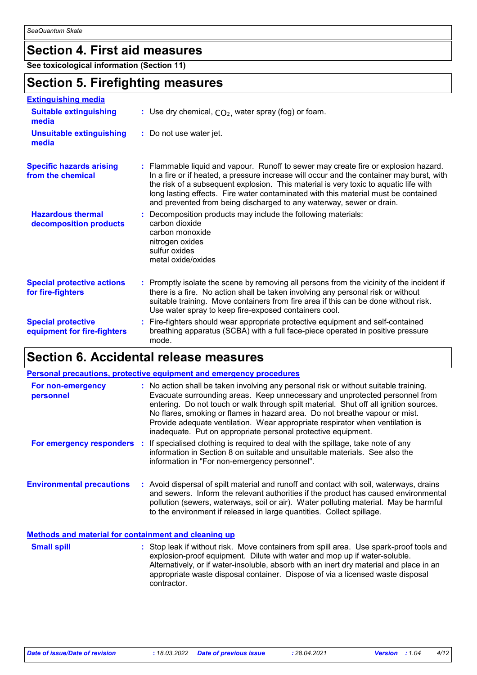# **Section 4. First aid measures**

**See toxicological information (Section 11)**

## **Section 5. Firefighting measures**

| <b>Extinguishing media</b>                               |                                                                                                                                                                                                                                                                                                                                                                                                                                       |
|----------------------------------------------------------|---------------------------------------------------------------------------------------------------------------------------------------------------------------------------------------------------------------------------------------------------------------------------------------------------------------------------------------------------------------------------------------------------------------------------------------|
| <b>Suitable extinguishing</b><br>media                   | : Use dry chemical, $CO2$ , water spray (fog) or foam.                                                                                                                                                                                                                                                                                                                                                                                |
| <b>Unsuitable extinguishing</b><br>media                 | : Do not use water jet.                                                                                                                                                                                                                                                                                                                                                                                                               |
| <b>Specific hazards arising</b><br>from the chemical     | : Flammable liquid and vapour. Runoff to sewer may create fire or explosion hazard.<br>In a fire or if heated, a pressure increase will occur and the container may burst, with<br>the risk of a subsequent explosion. This material is very toxic to aquatic life with<br>long lasting effects. Fire water contaminated with this material must be contained<br>and prevented from being discharged to any waterway, sewer or drain. |
| <b>Hazardous thermal</b><br>decomposition products       | : Decomposition products may include the following materials:<br>carbon dioxide<br>carbon monoxide<br>nitrogen oxides<br>sulfur oxides<br>metal oxide/oxides                                                                                                                                                                                                                                                                          |
| <b>Special protective actions</b><br>for fire-fighters   | : Promptly isolate the scene by removing all persons from the vicinity of the incident if<br>there is a fire. No action shall be taken involving any personal risk or without<br>suitable training. Move containers from fire area if this can be done without risk.<br>Use water spray to keep fire-exposed containers cool.                                                                                                         |
| <b>Special protective</b><br>equipment for fire-fighters | : Fire-fighters should wear appropriate protective equipment and self-contained<br>breathing apparatus (SCBA) with a full face-piece operated in positive pressure<br>mode.                                                                                                                                                                                                                                                           |

# **Section 6. Accidental release measures**

|                                                      | <b>Personal precautions, protective equipment and emergency procedures</b>                                                                                                                                                                                                                                                                                                                                                                                                                    |
|------------------------------------------------------|-----------------------------------------------------------------------------------------------------------------------------------------------------------------------------------------------------------------------------------------------------------------------------------------------------------------------------------------------------------------------------------------------------------------------------------------------------------------------------------------------|
| For non-emergency<br>personnel                       | : No action shall be taken involving any personal risk or without suitable training.<br>Evacuate surrounding areas. Keep unnecessary and unprotected personnel from<br>entering. Do not touch or walk through spilt material. Shut off all ignition sources.<br>No flares, smoking or flames in hazard area. Do not breathe vapour or mist.<br>Provide adequate ventilation. Wear appropriate respirator when ventilation is<br>inadequate. Put on appropriate personal protective equipment. |
|                                                      | For emergency responders : If specialised clothing is required to deal with the spillage, take note of any<br>information in Section 8 on suitable and unsuitable materials. See also the<br>information in "For non-emergency personnel".                                                                                                                                                                                                                                                    |
| <b>Environmental precautions</b>                     | : Avoid dispersal of spilt material and runoff and contact with soil, waterways, drains<br>and sewers. Inform the relevant authorities if the product has caused environmental<br>pollution (sewers, waterways, soil or air). Water polluting material. May be harmful<br>to the environment if released in large quantities. Collect spillage.                                                                                                                                               |
| Methods and material for containment and cleaning up |                                                                                                                                                                                                                                                                                                                                                                                                                                                                                               |

| <b>Small spill</b> | : Stop leak if without risk. Move containers from spill area. Use spark-proof tools and<br>explosion-proof equipment. Dilute with water and mop up if water-soluble. |
|--------------------|----------------------------------------------------------------------------------------------------------------------------------------------------------------------|
|                    | Alternatively, or if water-insoluble, absorb with an inert dry material and place in an                                                                              |
|                    | appropriate waste disposal container. Dispose of via a licensed waste disposal<br>contractor.                                                                        |
|                    |                                                                                                                                                                      |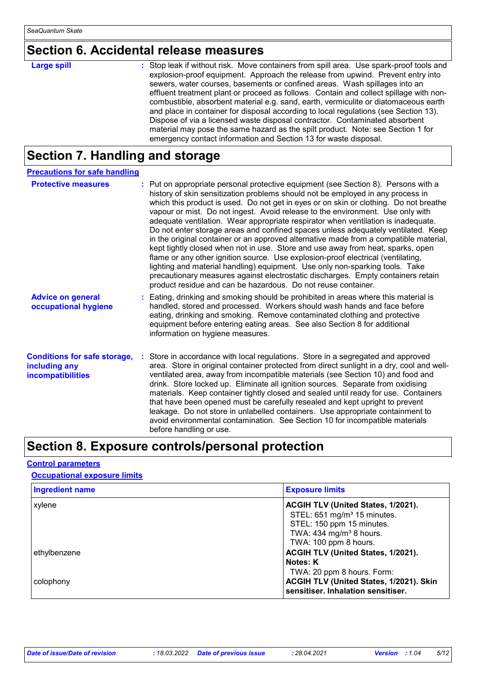# **Section 6. Accidental release measures**

| <b>Large spill</b> | : Stop leak if without risk. Move containers from spill area. Use spark-proof tools and<br>explosion-proof equipment. Approach the release from upwind. Prevent entry into<br>sewers, water courses, basements or confined areas. Wash spillages into an<br>effluent treatment plant or proceed as follows. Contain and collect spillage with non-<br>combustible, absorbent material e.g. sand, earth, vermiculite or diatomaceous earth<br>and place in container for disposal according to local regulations (see Section 13). |
|--------------------|-----------------------------------------------------------------------------------------------------------------------------------------------------------------------------------------------------------------------------------------------------------------------------------------------------------------------------------------------------------------------------------------------------------------------------------------------------------------------------------------------------------------------------------|
|                    | Dispose of via a licensed waste disposal contractor. Contaminated absorbent<br>material may pose the same hazard as the spilt product. Note: see Section 1 for                                                                                                                                                                                                                                                                                                                                                                    |
|                    | emergency contact information and Section 13 for waste disposal.                                                                                                                                                                                                                                                                                                                                                                                                                                                                  |

## **Section 7. Handling and storage**

| <b>Precautions for safe handling</b>                                             |                                                                                                                                                                                                                                                                                                                                                                                                                                                                                                                                                                                                                                                                                                                                                                                                                                                                                                                                                                                                                                 |
|----------------------------------------------------------------------------------|---------------------------------------------------------------------------------------------------------------------------------------------------------------------------------------------------------------------------------------------------------------------------------------------------------------------------------------------------------------------------------------------------------------------------------------------------------------------------------------------------------------------------------------------------------------------------------------------------------------------------------------------------------------------------------------------------------------------------------------------------------------------------------------------------------------------------------------------------------------------------------------------------------------------------------------------------------------------------------------------------------------------------------|
| <b>Protective measures</b>                                                       | : Put on appropriate personal protective equipment (see Section 8). Persons with a<br>history of skin sensitization problems should not be employed in any process in<br>which this product is used. Do not get in eyes or on skin or clothing. Do not breathe<br>vapour or mist. Do not ingest. Avoid release to the environment. Use only with<br>adequate ventilation. Wear appropriate respirator when ventilation is inadequate.<br>Do not enter storage areas and confined spaces unless adequately ventilated. Keep<br>in the original container or an approved alternative made from a compatible material,<br>kept tightly closed when not in use. Store and use away from heat, sparks, open<br>flame or any other ignition source. Use explosion-proof electrical (ventilating,<br>lighting and material handling) equipment. Use only non-sparking tools. Take<br>precautionary measures against electrostatic discharges. Empty containers retain<br>product residue and can be hazardous. Do not reuse container. |
| <b>Advice on general</b><br>occupational hygiene                                 | : Eating, drinking and smoking should be prohibited in areas where this material is<br>handled, stored and processed. Workers should wash hands and face before<br>eating, drinking and smoking. Remove contaminated clothing and protective<br>equipment before entering eating areas. See also Section 8 for additional<br>information on hygiene measures.                                                                                                                                                                                                                                                                                                                                                                                                                                                                                                                                                                                                                                                                   |
| <b>Conditions for safe storage,</b><br>including any<br><b>incompatibilities</b> | : Store in accordance with local regulations. Store in a segregated and approved<br>area. Store in original container protected from direct sunlight in a dry, cool and well-<br>ventilated area, away from incompatible materials (see Section 10) and food and<br>drink. Store locked up. Eliminate all ignition sources. Separate from oxidising<br>materials. Keep container tightly closed and sealed until ready for use. Containers<br>that have been opened must be carefully resealed and kept upright to prevent<br>leakage. Do not store in unlabelled containers. Use appropriate containment to<br>avoid environmental contamination. See Section 10 for incompatible materials<br>before handling or use.                                                                                                                                                                                                                                                                                                         |

# **Section 8. Exposure controls/personal protection**

## **Control parameters**

**Occupational exposure limits**

| <b>Ingredient name</b> | <b>Exposure limits</b>                                                        |
|------------------------|-------------------------------------------------------------------------------|
| xylene                 | ACGIH TLV (United States, 1/2021).                                            |
|                        | STEL: 651 mg/m <sup>3</sup> 15 minutes.                                       |
|                        | STEL: 150 ppm 15 minutes.                                                     |
|                        | TWA: $434$ mg/m <sup>3</sup> 8 hours.                                         |
|                        | TWA: 100 ppm 8 hours.                                                         |
| ethylbenzene           | ACGIH TLV (United States, 1/2021).                                            |
|                        | Notes: K                                                                      |
|                        | TWA: 20 ppm 8 hours. Form:                                                    |
| colophony              | ACGIH TLV (United States, 1/2021). Skin<br>sensitiser. Inhalation sensitiser. |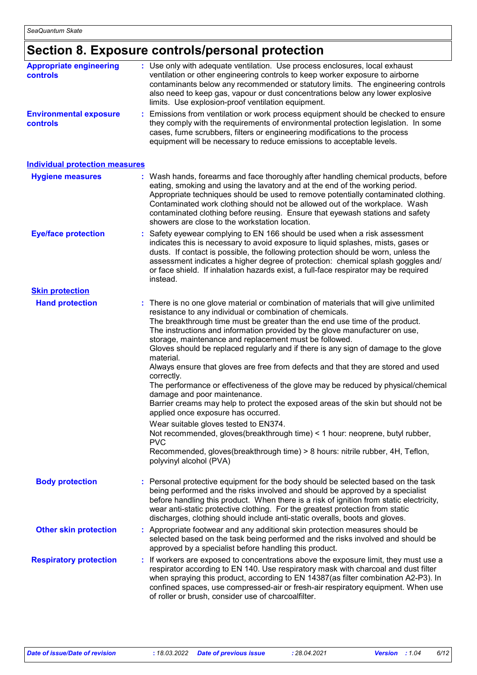# **Section 8. Exposure controls/personal protection**

| <b>Appropriate engineering</b><br><b>controls</b> | : Use only with adequate ventilation. Use process enclosures, local exhaust<br>ventilation or other engineering controls to keep worker exposure to airborne<br>contaminants below any recommended or statutory limits. The engineering controls<br>also need to keep gas, vapour or dust concentrations below any lower explosive<br>limits. Use explosion-proof ventilation equipment.                                                                                                                                                                                                                                                                                                                                                                                                                                                                                                                                                                                                                                                                                                |
|---------------------------------------------------|-----------------------------------------------------------------------------------------------------------------------------------------------------------------------------------------------------------------------------------------------------------------------------------------------------------------------------------------------------------------------------------------------------------------------------------------------------------------------------------------------------------------------------------------------------------------------------------------------------------------------------------------------------------------------------------------------------------------------------------------------------------------------------------------------------------------------------------------------------------------------------------------------------------------------------------------------------------------------------------------------------------------------------------------------------------------------------------------|
| <b>Environmental exposure</b><br>controls         | Emissions from ventilation or work process equipment should be checked to ensure<br>they comply with the requirements of environmental protection legislation. In some<br>cases, fume scrubbers, filters or engineering modifications to the process<br>equipment will be necessary to reduce emissions to acceptable levels.                                                                                                                                                                                                                                                                                                                                                                                                                                                                                                                                                                                                                                                                                                                                                           |
| <b>Individual protection measures</b>             |                                                                                                                                                                                                                                                                                                                                                                                                                                                                                                                                                                                                                                                                                                                                                                                                                                                                                                                                                                                                                                                                                         |
| <b>Hygiene measures</b>                           | Wash hands, forearms and face thoroughly after handling chemical products, before<br>eating, smoking and using the lavatory and at the end of the working period.<br>Appropriate techniques should be used to remove potentially contaminated clothing.<br>Contaminated work clothing should not be allowed out of the workplace. Wash<br>contaminated clothing before reusing. Ensure that eyewash stations and safety<br>showers are close to the workstation location.                                                                                                                                                                                                                                                                                                                                                                                                                                                                                                                                                                                                               |
| <b>Eye/face protection</b>                        | : Safety eyewear complying to EN 166 should be used when a risk assessment<br>indicates this is necessary to avoid exposure to liquid splashes, mists, gases or<br>dusts. If contact is possible, the following protection should be worn, unless the<br>assessment indicates a higher degree of protection: chemical splash goggles and/<br>or face shield. If inhalation hazards exist, a full-face respirator may be required<br>instead.                                                                                                                                                                                                                                                                                                                                                                                                                                                                                                                                                                                                                                            |
| <b>Skin protection</b>                            |                                                                                                                                                                                                                                                                                                                                                                                                                                                                                                                                                                                                                                                                                                                                                                                                                                                                                                                                                                                                                                                                                         |
| <b>Hand protection</b>                            | : There is no one glove material or combination of materials that will give unlimited<br>resistance to any individual or combination of chemicals.<br>The breakthrough time must be greater than the end use time of the product.<br>The instructions and information provided by the glove manufacturer on use,<br>storage, maintenance and replacement must be followed.<br>Gloves should be replaced regularly and if there is any sign of damage to the glove<br>material.<br>Always ensure that gloves are free from defects and that they are stored and used<br>correctly.<br>The performance or effectiveness of the glove may be reduced by physical/chemical<br>damage and poor maintenance.<br>Barrier creams may help to protect the exposed areas of the skin but should not be<br>applied once exposure has occurred.<br>Wear suitable gloves tested to EN374.<br>Not recommended, gloves (breakthrough time) < 1 hour: neoprene, butyl rubber,<br><b>PVC</b><br>Recommended, gloves(breakthrough time) > 8 hours: nitrile rubber, 4H, Teflon,<br>polyvinyl alcohol (PVA) |
| <b>Body protection</b>                            | Personal protective equipment for the body should be selected based on the task<br>being performed and the risks involved and should be approved by a specialist<br>before handling this product. When there is a risk of ignition from static electricity,<br>wear anti-static protective clothing. For the greatest protection from static<br>discharges, clothing should include anti-static overalls, boots and gloves.                                                                                                                                                                                                                                                                                                                                                                                                                                                                                                                                                                                                                                                             |
| <b>Other skin protection</b>                      | Appropriate footwear and any additional skin protection measures should be<br>selected based on the task being performed and the risks involved and should be<br>approved by a specialist before handling this product.                                                                                                                                                                                                                                                                                                                                                                                                                                                                                                                                                                                                                                                                                                                                                                                                                                                                 |
| <b>Respiratory protection</b>                     | : If workers are exposed to concentrations above the exposure limit, they must use a<br>respirator according to EN 140. Use respiratory mask with charcoal and dust filter<br>when spraying this product, according to EN 14387(as filter combination A2-P3). In<br>confined spaces, use compressed-air or fresh-air respiratory equipment. When use<br>of roller or brush, consider use of charcoalfilter.                                                                                                                                                                                                                                                                                                                                                                                                                                                                                                                                                                                                                                                                             |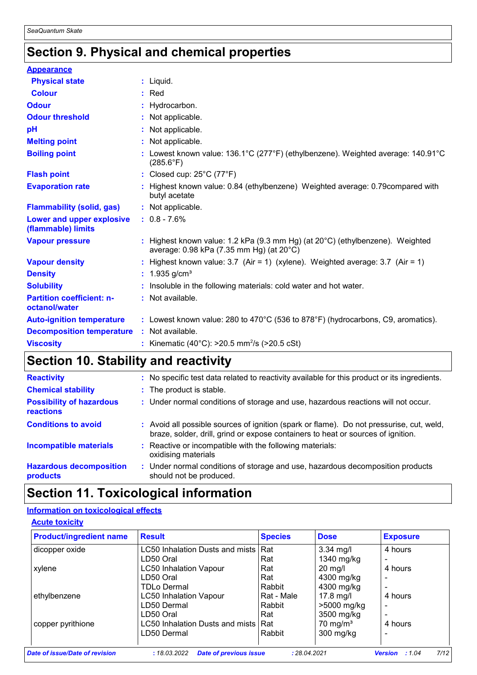# **Section 9. Physical and chemical properties**

| <b>Appearance</b>                                 |                                                                                                                                     |  |
|---------------------------------------------------|-------------------------------------------------------------------------------------------------------------------------------------|--|
| <b>Physical state</b>                             | $:$ Liquid.                                                                                                                         |  |
| <b>Colour</b>                                     | $:$ Red                                                                                                                             |  |
| <b>Odour</b>                                      | : Hydrocarbon.                                                                                                                      |  |
| <b>Odour threshold</b>                            | : Not applicable.                                                                                                                   |  |
| pH                                                | : Not applicable.                                                                                                                   |  |
| <b>Melting point</b>                              | : Not applicable.                                                                                                                   |  |
| <b>Boiling point</b>                              | Lowest known value: 136.1°C (277°F) (ethylbenzene). Weighted average: 140.91°C<br>$(285.6^{\circ}F)$                                |  |
| <b>Flash point</b>                                | : Closed cup: 25°C (77°F)                                                                                                           |  |
| <b>Evaporation rate</b>                           | : Highest known value: 0.84 (ethylbenzene) Weighted average: 0.79compared with<br>butyl acetate                                     |  |
| <b>Flammability (solid, gas)</b>                  | : Not applicable.                                                                                                                   |  |
| Lower and upper explosive<br>(flammable) limits   | $: 0.8 - 7.6%$                                                                                                                      |  |
| <b>Vapour pressure</b>                            | : Highest known value: 1.2 kPa (9.3 mm Hg) (at $20^{\circ}$ C) (ethylbenzene). Weighted<br>average: 0.98 kPa (7.35 mm Hg) (at 20°C) |  |
| <b>Vapour density</b>                             | : Highest known value: $3.7$ (Air = 1) (xylene). Weighted average: $3.7$ (Air = 1)                                                  |  |
| <b>Density</b>                                    | : $1.935$ g/cm <sup>3</sup>                                                                                                         |  |
| <b>Solubility</b>                                 | : Insoluble in the following materials: cold water and hot water.                                                                   |  |
| <b>Partition coefficient: n-</b><br>octanol/water | : Not available.                                                                                                                    |  |
| <b>Auto-ignition temperature</b>                  | : Lowest known value: 280 to $470^{\circ}$ C (536 to 878 $^{\circ}$ F) (hydrocarbons, C9, aromatics).                               |  |
| <b>Decomposition temperature</b>                  | : Not available.                                                                                                                    |  |
| <b>Viscosity</b>                                  | : Kinematic (40°C): $>20.5$ mm <sup>2</sup> /s ( $>20.5$ cSt)                                                                       |  |

# **Section 10. Stability and reactivity**

| <b>Reactivity</b>                            | : No specific test data related to reactivity available for this product or its ingredients.                                                                                 |
|----------------------------------------------|------------------------------------------------------------------------------------------------------------------------------------------------------------------------------|
| <b>Chemical stability</b>                    | : The product is stable.                                                                                                                                                     |
| <b>Possibility of hazardous</b><br>reactions | : Under normal conditions of storage and use, hazardous reactions will not occur.                                                                                            |
| <b>Conditions to avoid</b>                   | : Avoid all possible sources of ignition (spark or flame). Do not pressurise, cut, weld,<br>braze, solder, drill, grind or expose containers to heat or sources of ignition. |
| <b>Incompatible materials</b>                | : Reactive or incompatible with the following materials:<br>oxidising materials                                                                                              |
| <b>Hazardous decomposition</b><br>products   | : Under normal conditions of storage and use, hazardous decomposition products<br>should not be produced.                                                                    |

# **Section 11. Toxicological information**

## **Information on toxicological effects**

| <b>Acute toxicity</b> |
|-----------------------|
|-----------------------|

| <b>Product/ingredient name</b> | <b>Result</b>                                 | <b>Species</b> | <b>Dose</b>         | <b>Exposure</b>                 |
|--------------------------------|-----------------------------------------------|----------------|---------------------|---------------------------------|
| dicopper oxide                 | LC50 Inhalation Dusts and mists               | <b>Rat</b>     | $3.34$ mg/l         | 4 hours                         |
|                                | LD50 Oral                                     | Rat            | 1340 mg/kg          |                                 |
| xylene                         | <b>LC50 Inhalation Vapour</b>                 | Rat            | $20$ mg/l           | 4 hours                         |
|                                | LD50 Oral                                     | Rat            | 4300 mg/kg          |                                 |
|                                | <b>TDLo Dermal</b>                            | Rabbit         | 4300 mg/kg          |                                 |
| ethylbenzene                   | <b>LC50 Inhalation Vapour</b>                 | Rat - Male     | 17.8 mg/l           | 4 hours                         |
|                                | LD50 Dermal                                   | Rabbit         | >5000 mg/kg         | ۰                               |
|                                | LD50 Oral                                     | Rat            | 3500 mg/kg          |                                 |
| copper pyrithione              | LC50 Inhalation Dusts and mists               | l Rat          | $70 \text{ mg/m}^3$ | 4 hours                         |
|                                | LD50 Dermal                                   | Rabbit         | 300 mg/kg           |                                 |
|                                |                                               |                |                     |                                 |
| Date of issue/Date of revision | <b>Date of previous issue</b><br>: 18.03.2022 | : 28.04.2021   |                     | 7/12<br><b>Version</b><br>:1.04 |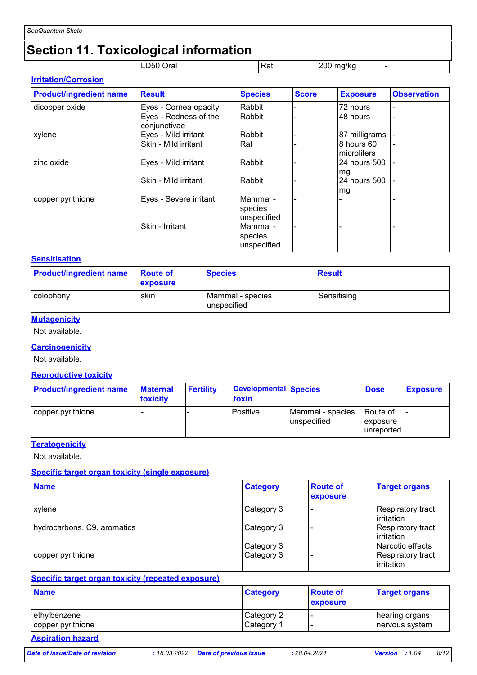# **Section 11. Toxicological information**

|                             | LD50<br>Oral | Rat | 200 mg/kg | - |
|-----------------------------|--------------|-----|-----------|---|
| <b>Irritation/Corrosion</b> |              |     |           |   |

| <b>Product/ingredient name</b> | <b>Result</b>                         | <b>Species</b>                     | <b>Score</b> | <b>Exposure</b>           | <b>Observation</b> |
|--------------------------------|---------------------------------------|------------------------------------|--------------|---------------------------|--------------------|
| dicopper oxide                 | Eyes - Cornea opacity                 | Rabbit                             |              | 72 hours                  |                    |
|                                | Eyes - Redness of the<br>conjunctivae | Rabbit                             |              | 48 hours                  |                    |
| xylene                         | Eyes - Mild irritant                  | Rabbit                             |              | 87 milligrams             |                    |
|                                | Skin - Mild irritant                  | Rat                                |              | 8 hours 60<br>microliters |                    |
| zinc oxide                     | Eyes - Mild irritant                  | Rabbit                             |              | 24 hours 500<br>mg        |                    |
|                                | Skin - Mild irritant                  | Rabbit                             |              | 24 hours 500<br>mg        |                    |
| copper pyrithione              | Eyes - Severe irritant                | Mammal -<br>species<br>unspecified |              |                           |                    |
|                                | Skin - Irritant                       | Mammal -<br>species<br>unspecified |              |                           |                    |

### **Sensitisation**

| <b>Product/ingredient name</b> | <b>Route of</b><br><b>exposure</b> | <b>Species</b>                  | Result      |
|--------------------------------|------------------------------------|---------------------------------|-------------|
| colophony                      | skin                               | Mammal - species<br>unspecified | Sensitising |

### **Mutagenicity**

Not available.

### **Carcinogenicity**

Not available.

#### **Reproductive toxicity**

| <b>Product/ingredient name</b> | <b>Maternal</b><br><b>toxicity</b> | <b>Fertility</b> | Developmental Species<br>toxin |                                 | <b>Dose</b>                         | <b>Exposure</b> |
|--------------------------------|------------------------------------|------------------|--------------------------------|---------------------------------|-------------------------------------|-----------------|
| copper pyrithione              |                                    |                  | Positive                       | Mammal - species<br>unspecified | Route of<br>exposure<br>lunreported |                 |

### **Teratogenicity**

Not available.

### **Specific target organ toxicity (single exposure)**

| <b>Name</b>                 | <b>Category</b>          | <b>Route of</b><br>exposure | <b>Target organs</b>                                |
|-----------------------------|--------------------------|-----------------------------|-----------------------------------------------------|
| xylene                      | Category 3               |                             | <b>Respiratory tract</b><br>irritation              |
| hydrocarbons, C9, aromatics | Category 3               |                             | Respiratory tract<br>irritation                     |
| copper pyrithione           | Category 3<br>Category 3 |                             | Narcotic effects<br>Respiratory tract<br>irritation |

## **Specific target organ toxicity (repeated exposure)**

| <b>Name</b>       | <b>Category</b> | <b>Route of</b><br><b>exposure</b> | <b>Target organs</b> |
|-------------------|-----------------|------------------------------------|----------------------|
| ethylbenzene      | Category 2      |                                    | hearing organs       |
| copper pyrithione | Category 1      |                                    | ∣nervous system      |
|                   |                 |                                    |                      |

## **Aspiration hazard**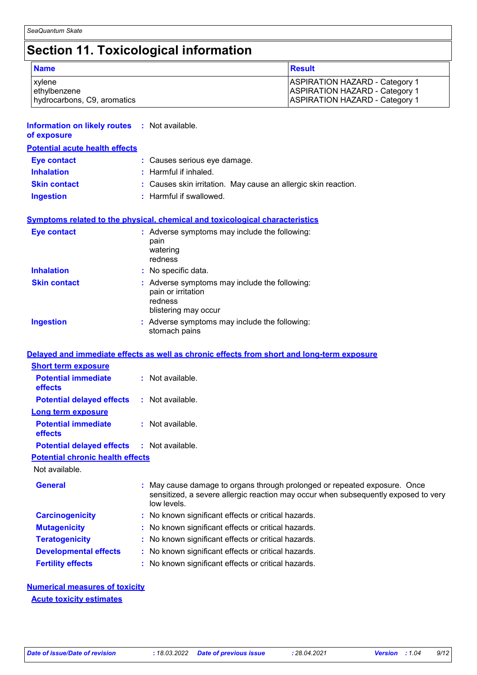# **Section 11. Toxicological information**

| <b>Name</b>                 | Result                                |
|-----------------------------|---------------------------------------|
| xylene                      | ASPIRATION HAZARD - Category 1        |
| ethylbenzene                | <b>ASPIRATION HAZARD - Category 1</b> |
| hydrocarbons, C9, aromatics | <b>ASPIRATION HAZARD - Category 1</b> |

| <b>Information on likely routes : Not available.</b><br>of exposure |                                                                                                                                                                              |
|---------------------------------------------------------------------|------------------------------------------------------------------------------------------------------------------------------------------------------------------------------|
| <b>Potential acute health effects</b>                               |                                                                                                                                                                              |
| <b>Eye contact</b>                                                  | : Causes serious eye damage.                                                                                                                                                 |
| <b>Inhalation</b>                                                   | : Harmful if inhaled.                                                                                                                                                        |
| <b>Skin contact</b>                                                 | Causes skin irritation. May cause an allergic skin reaction.                                                                                                                 |
| <b>Ingestion</b>                                                    | : Harmful if swallowed.                                                                                                                                                      |
|                                                                     | <b>Symptoms related to the physical, chemical and toxicological characteristics</b>                                                                                          |
| <b>Eye contact</b>                                                  | : Adverse symptoms may include the following:<br>pain<br>watering<br>redness                                                                                                 |
| <b>Inhalation</b>                                                   | : No specific data.                                                                                                                                                          |
| <b>Skin contact</b>                                                 | : Adverse symptoms may include the following:<br>pain or irritation<br>redness<br>blistering may occur                                                                       |
| <b>Ingestion</b>                                                    | : Adverse symptoms may include the following:<br>stomach pains                                                                                                               |
|                                                                     | Delayed and immediate effects as well as chronic effects from short and long-term exposure                                                                                   |
| <b>Short term exposure</b>                                          |                                                                                                                                                                              |
| <b>Potential immediate</b><br>effects                               | : Not available.                                                                                                                                                             |
| <b>Potential delayed effects</b>                                    | : Not available.                                                                                                                                                             |
| <b>Long term exposure</b>                                           |                                                                                                                                                                              |
| <b>Potential immediate</b><br>effects                               | : Not available.                                                                                                                                                             |
| <b>Potential delayed effects</b>                                    | : Not available.                                                                                                                                                             |
| <b>Potential chronic health effects</b>                             |                                                                                                                                                                              |
| Not available.                                                      |                                                                                                                                                                              |
| <b>General</b>                                                      | May cause damage to organs through prolonged or repeated exposure. Once<br>sensitized, a severe allergic reaction may occur when subsequently exposed to very<br>low levels. |
| <b>Carcinogenicity</b>                                              | No known significant effects or critical hazards.                                                                                                                            |
| <b>Mutagenicity</b>                                                 | No known significant effects or critical hazards.                                                                                                                            |
| <b>Teratogenicity</b>                                               | : No known significant effects or critical hazards.                                                                                                                          |

- **Developmental effects :** No known significant effects or critical hazards.
- **Fertility effects :** No known significant effects or critical hazards.

## **Numerical measures of toxicity Acute toxicity estimates**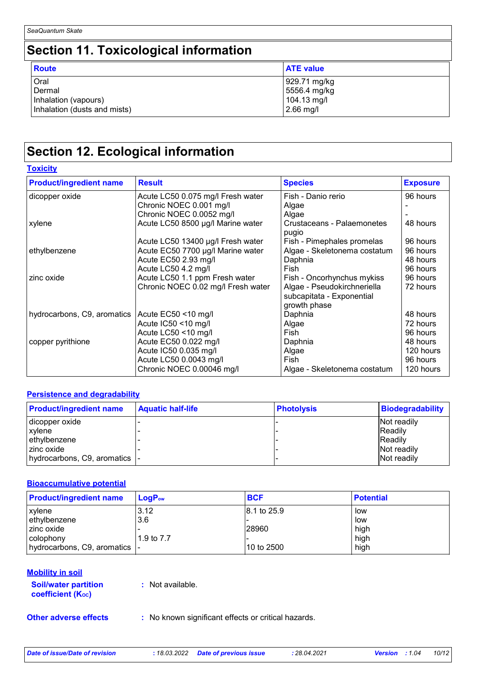# **Section 11. Toxicological information**

| <b>Route</b>                 | <b>ATE value</b> |
|------------------------------|------------------|
| Oral                         | 929.71 mg/kg     |
| Dermal                       | 5556.4 mg/kg     |
| Inhalation (vapours)         | 104.13 mg/l      |
| Inhalation (dusts and mists) | $2.66$ mg/l      |

# **Section 12. Ecological information**

**Toxicity**

| <b>Product/ingredient name</b> | <b>Result</b>                      | <b>Species</b>                      | <b>Exposure</b> |
|--------------------------------|------------------------------------|-------------------------------------|-----------------|
| dicopper oxide                 | Acute LC50 0.075 mg/l Fresh water  | Fish - Danio rerio                  | 96 hours        |
|                                | Chronic NOEC 0.001 mg/l            | Algae                               |                 |
|                                | Chronic NOEC 0.0052 mg/l           | Algae                               |                 |
| xylene                         | Acute LC50 8500 µg/l Marine water  | Crustaceans - Palaemonetes<br>pugio | 48 hours        |
|                                | Acute LC50 13400 µg/l Fresh water  | Fish - Pimephales promelas          | 96 hours        |
| ethylbenzene                   | Acute EC50 7700 µg/l Marine water  | Algae - Skeletonema costatum        | 96 hours        |
|                                | Acute EC50 2.93 mg/l               | Daphnia                             | 48 hours        |
|                                | Acute LC50 4.2 mg/l                | Fish                                | 96 hours        |
| zinc oxide                     | Acute LC50 1.1 ppm Fresh water     | Fish - Oncorhynchus mykiss          | 96 hours        |
|                                | Chronic NOEC 0.02 mg/l Fresh water | Algae - Pseudokirchneriella         | 72 hours        |
|                                |                                    | subcapitata - Exponential           |                 |
|                                |                                    | growth phase                        |                 |
| hydrocarbons, C9, aromatics    | Acute EC50 <10 mg/l                | Daphnia                             | 48 hours        |
|                                | Acute IC50 <10 mg/l                | Algae                               | 72 hours        |
|                                | Acute LC50 <10 mg/l                | Fish                                | 96 hours        |
| copper pyrithione              | Acute EC50 0.022 mg/l              | Daphnia                             | 48 hours        |
|                                | Acute IC50 0.035 mg/l              | Algae                               | 120 hours       |
|                                | Acute LC50 0.0043 mg/l             | Fish                                | 96 hours        |
|                                | Chronic NOEC 0.00046 mg/l          | Algae - Skeletonema costatum        | 120 hours       |

### **Persistence and degradability**

| <b>Product/ingredient name</b> | <b>Aquatic half-life</b> | <b>Photolysis</b> | <b>Biodegradability</b> |
|--------------------------------|--------------------------|-------------------|-------------------------|
| dicopper oxide                 |                          |                   | Not readily             |
| xylene                         |                          |                   | <b>IReadily</b>         |
| ethylbenzene                   |                          |                   | <b>Readily</b>          |
| zinc oxide                     |                          |                   | Not readily             |
| hydrocarbons, C9, aromatics  - |                          |                   | Not readily             |

### **Bioaccumulative potential**

| <b>Product/ingredient name</b> | $LoaPow$   | <b>BCF</b>   | <b>Potential</b> |
|--------------------------------|------------|--------------|------------------|
| <b>xylene</b>                  | 3.12       | 18.1 to 25.9 | low              |
| ethylbenzene                   | 3.6        |              | low              |
| I zinc oxide                   |            | 28960        | high             |
| l colophony                    | 1.9 to 7.7 |              | high             |
| hydrocarbons, C9, aromatics  - |            | 10 to 2500   | high             |

### **Mobility in soil**

**Soil/water partition coefficient (Koc)** 

**:** Not available.

**Other adverse effects** : No known significant effects or critical hazards.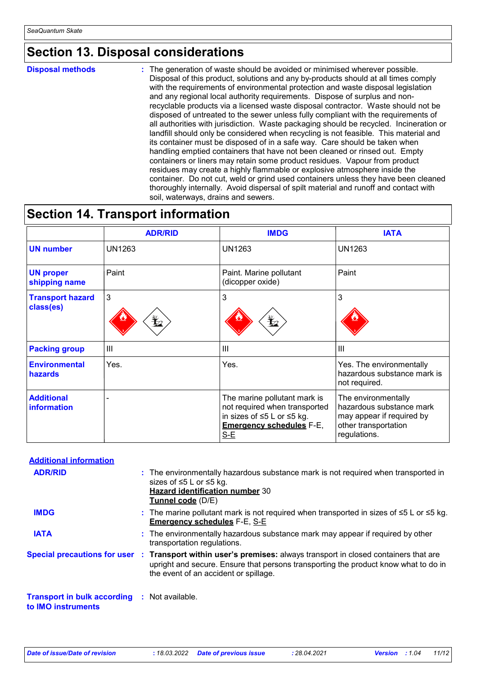## **Section 13. Disposal considerations**

**Disposal methods :**

The generation of waste should be avoided or minimised wherever possible. Disposal of this product, solutions and any by-products should at all times comply with the requirements of environmental protection and waste disposal legislation and any regional local authority requirements. Dispose of surplus and nonrecyclable products via a licensed waste disposal contractor. Waste should not be disposed of untreated to the sewer unless fully compliant with the requirements of all authorities with jurisdiction. Waste packaging should be recycled. Incineration or landfill should only be considered when recycling is not feasible. This material and its container must be disposed of in a safe way. Care should be taken when handling emptied containers that have not been cleaned or rinsed out. Empty containers or liners may retain some product residues. Vapour from product residues may create a highly flammable or explosive atmosphere inside the container. Do not cut, weld or grind used containers unless they have been cleaned thoroughly internally. Avoid dispersal of spilt material and runoff and contact with soil, waterways, drains and sewers.

## **Section 14. Transport information**

|                                         | <b>ADR/RID</b> | <b>IMDG</b>                                                                                                                           | <b>IATA</b>                                                                                                          |
|-----------------------------------------|----------------|---------------------------------------------------------------------------------------------------------------------------------------|----------------------------------------------------------------------------------------------------------------------|
| <b>UN number</b>                        | <b>UN1263</b>  | <b>UN1263</b>                                                                                                                         | <b>UN1263</b>                                                                                                        |
| <b>UN proper</b><br>shipping name       | Paint          | Paint. Marine pollutant<br>(dicopper oxide)                                                                                           | Paint                                                                                                                |
| <b>Transport hazard</b><br>class(es)    | 3<br>₩         | 3<br>$\mathbf{\mathbf{\mathbf{\mathbf{\mathbf{\mathbf{\mathbf{Y}}}}}}$                                                                | 3                                                                                                                    |
| <b>Packing group</b>                    | ШI             | Ш                                                                                                                                     | Ш                                                                                                                    |
| <b>Environmental</b><br>hazards         | Yes.           | Yes.                                                                                                                                  | Yes. The environmentally<br>hazardous substance mark is<br>not required.                                             |
| <b>Additional</b><br><b>information</b> |                | The marine pollutant mark is<br>not required when transported<br>in sizes of ≤5 L or ≤5 kg.<br><b>Emergency schedules F-E,</b><br>S-E | The environmentally<br>hazardous substance mark<br>may appear if required by<br>other transportation<br>regulations. |

| <b>Additional information</b>                                             |                                                                                                                                                                                                                                                 |
|---------------------------------------------------------------------------|-------------------------------------------------------------------------------------------------------------------------------------------------------------------------------------------------------------------------------------------------|
| <b>ADR/RID</b>                                                            | : The environmentally hazardous substance mark is not required when transported in<br>sizes of $\leq 5$ L or $\leq 5$ kg.<br><b>Hazard identification number 30</b><br>Tunnel code (D/E)                                                        |
| <b>IMDG</b>                                                               | : The marine pollutant mark is not required when transported in sizes of $\leq 5$ L or $\leq 5$ kg.<br><b>Emergency schedules F-E, S-E</b>                                                                                                      |
| <b>IATA</b>                                                               | : The environmentally hazardous substance mark may appear if required by other<br>transportation regulations.                                                                                                                                   |
|                                                                           | Special precautions for user : Transport within user's premises: always transport in closed containers that are<br>upright and secure. Ensure that persons transporting the product know what to do in<br>the event of an accident or spillage. |
| <b>Transport in bulk according : Not available.</b><br>to IMO instruments |                                                                                                                                                                                                                                                 |